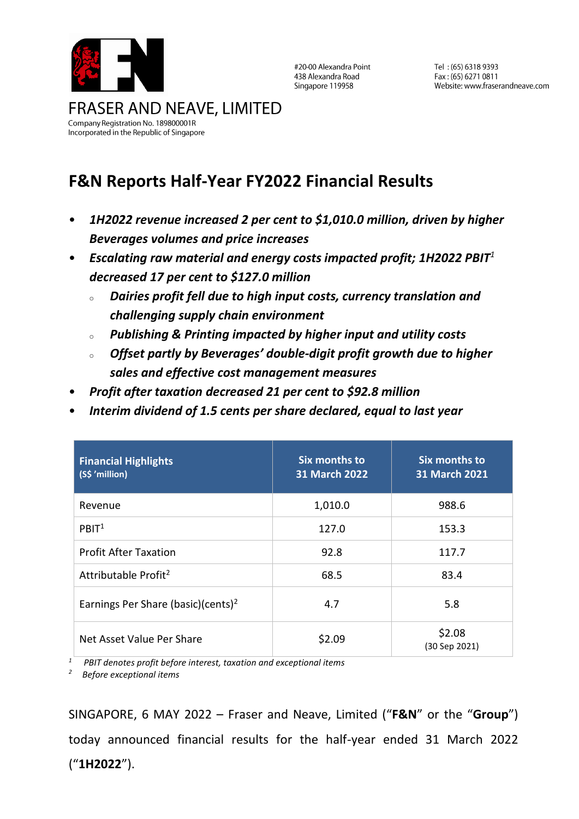

#20-00 Alexandra Point 438 Alexandra Road Singapore 119958

Tel: (65) 6318 9393 Fax: (65) 6271 0811 Website: www.fraserandneave.com

# **F&N Reports Half-Year FY2022 Financial Results**

- *1H2022 revenue increased 2 per cent to \$1,010.0 million, driven by higher Beverages volumes and price increases*
- *Escalating raw material and energy costs impacted profit; 1H2022 PBIT<sup>1</sup> decreased 17 per cent to \$127.0 million*
	- <sup>o</sup> *Dairies profit fell due to high input costs, currency translation and challenging supply chain environment*
	- <sup>o</sup> *Publishing & Printing impacted by higher input and utility costs*
	- <sup>o</sup> *Offset partly by Beverages' double-digit profit growth due to higher sales and effective cost management measures*
- *Profit after taxation decreased 21 per cent to \$92.8 million*
- *Interim dividend of 1.5 cents per share declared, equal to last year*

| <b>Financial Highlights</b><br>(S\$ 'million)  | Six months to<br><b>31 March 2022</b> | Six months to<br><b>31 March 2021</b> |
|------------------------------------------------|---------------------------------------|---------------------------------------|
| Revenue                                        | 1,010.0                               | 988.6                                 |
| PBIT <sup>1</sup>                              | 127.0                                 | 153.3                                 |
| <b>Profit After Taxation</b>                   | 92.8                                  | 117.7                                 |
| Attributable Profit <sup>2</sup>               | 68.5                                  | 83.4                                  |
| Earnings Per Share (basic)(cents) <sup>2</sup> | 4.7                                   | 5.8                                   |
| Net Asset Value Per Share                      | \$2.09                                | \$2.08<br>(30 Sep 2021)               |

*<sup>1</sup> PBIT denotes profit before interest, taxation and exceptional items* 

*<sup>2</sup> Before exceptional items*

SINGAPORE, 6 MAY 2022 – Fraser and Neave, Limited ("**F&N**" or the "**Group**") today announced financial results for the half-year ended 31 March 2022 ("**1H2022**").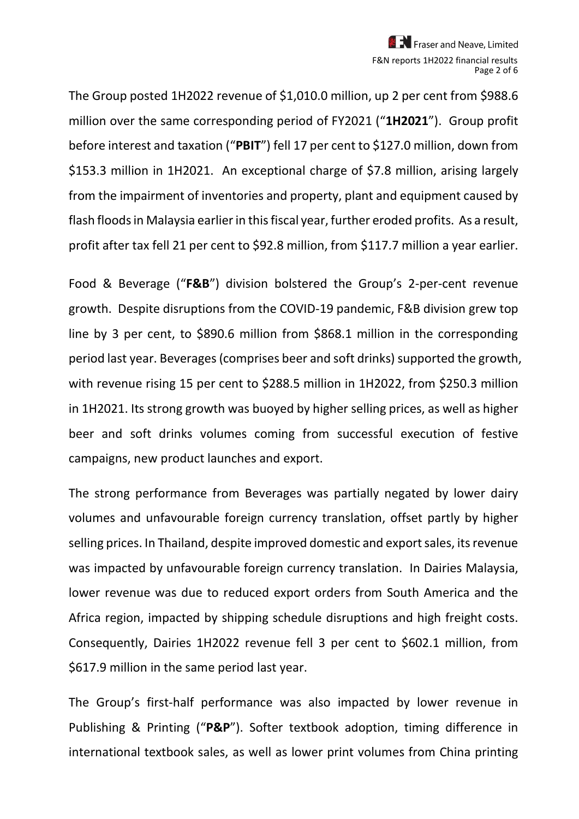The Group posted 1H2022 revenue of \$1,010.0 million, up 2 per cent from \$988.6 million over the same corresponding period of FY2021 ("**1H2021**"). Group profit before interest and taxation ("**PBIT**") fell 17 per cent to \$127.0 million, down from \$153.3 million in 1H2021. An exceptional charge of \$7.8 million, arising largely from the impairment of inventories and property, plant and equipment caused by flash floods in Malaysia earlier in this fiscal year, further eroded profits. As a result, profit after tax fell 21 per cent to \$92.8 million, from \$117.7 million a year earlier.

Food & Beverage ("**F&B**") division bolstered the Group's 2-per-cent revenue growth. Despite disruptions from the COVID-19 pandemic, F&B division grew top line by 3 per cent, to \$890.6 million from \$868.1 million in the corresponding period last year. Beverages (comprises beer and soft drinks) supported the growth, with revenue rising 15 per cent to \$288.5 million in 1H2022, from \$250.3 million in 1H2021. Its strong growth was buoyed by higher selling prices, as well as higher beer and soft drinks volumes coming from successful execution of festive campaigns, new product launches and export.

The strong performance from Beverages was partially negated by lower dairy volumes and unfavourable foreign currency translation, offset partly by higher selling prices. In Thailand, despite improved domestic and export sales, its revenue was impacted by unfavourable foreign currency translation. In Dairies Malaysia, lower revenue was due to reduced export orders from South America and the Africa region, impacted by shipping schedule disruptions and high freight costs. Consequently, Dairies 1H2022 revenue fell 3 per cent to \$602.1 million, from \$617.9 million in the same period last year.

The Group's first-half performance was also impacted by lower revenue in Publishing & Printing ("**P&P**"). Softer textbook adoption, timing difference in international textbook sales, as well as lower print volumes from China printing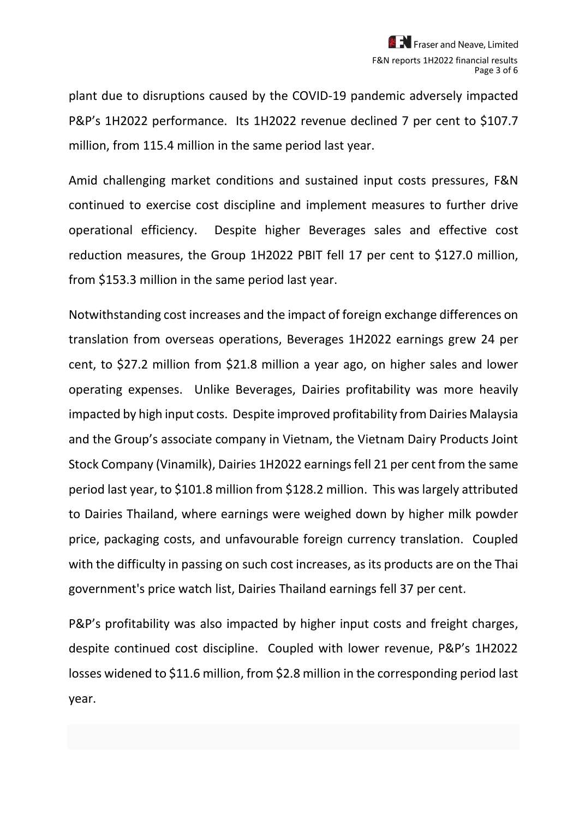plant due to disruptions caused by the COVID-19 pandemic adversely impacted P&P's 1H2022 performance. Its 1H2022 revenue declined 7 per cent to \$107.7 million, from 115.4 million in the same period last year.

Amid challenging market conditions and sustained input costs pressures, F&N continued to exercise cost discipline and implement measures to further drive operational efficiency. Despite higher Beverages sales and effective cost reduction measures, the Group 1H2022 PBIT fell 17 per cent to \$127.0 million, from \$153.3 million in the same period last year.

Notwithstanding cost increases and the impact of foreign exchange differences on translation from overseas operations, Beverages 1H2022 earnings grew 24 per cent, to \$27.2 million from \$21.8 million a year ago, on higher sales and lower operating expenses. Unlike Beverages, Dairies profitability was more heavily impacted by high input costs. Despite improved profitability from Dairies Malaysia and the Group's associate company in Vietnam, the Vietnam Dairy Products Joint Stock Company (Vinamilk), Dairies 1H2022 earnings fell 21 per cent from the same period last year, to \$101.8 million from \$128.2 million. This was largely attributed to Dairies Thailand, where earnings were weighed down by higher milk powder price, packaging costs, and unfavourable foreign currency translation. Coupled with the difficulty in passing on such cost increases, as its products are on the Thai government's price watch list, Dairies Thailand earnings fell 37 per cent.

P&P's profitability was also impacted by higher input costs and freight charges, despite continued cost discipline. Coupled with lower revenue, P&P's 1H2022 losses widened to \$11.6 million, from \$2.8 million in the corresponding period last year.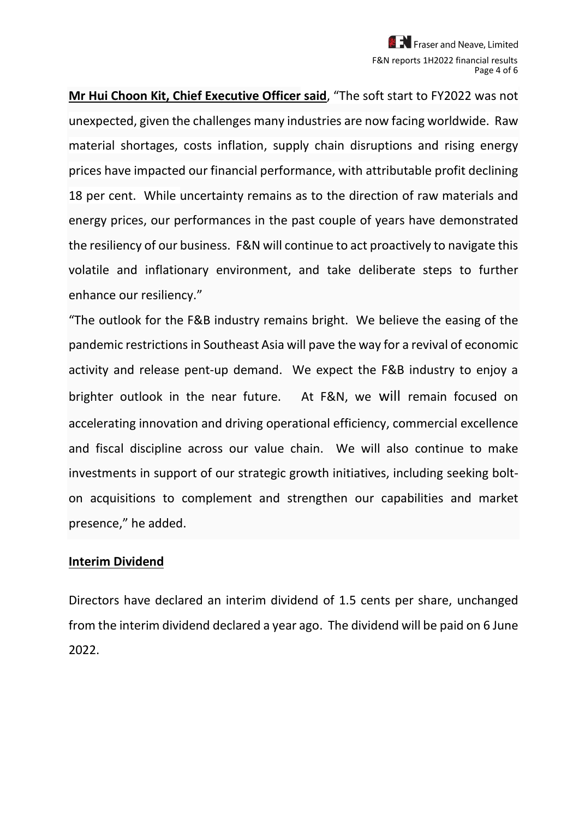**Mr Hui Choon Kit, Chief Executive Officer said**, "The soft start to FY2022 was not unexpected, given the challenges many industries are now facing worldwide. Raw material shortages, costs inflation, supply chain disruptions and rising energy prices have impacted our financial performance, with attributable profit declining 18 per cent. While uncertainty remains as to the direction of raw materials and energy prices, our performances in the past couple of years have demonstrated the resiliency of our business. F&N will continue to act proactively to navigate this volatile and inflationary environment, and take deliberate steps to further enhance our resiliency."

"The outlook for the F&B industry remains bright. We believe the easing of the pandemic restrictions in Southeast Asia will pave the way for a revival of economic activity and release pent-up demand. We expect the F&B industry to enjoy a brighter outlook in the near future. At F&N, we will remain focused on accelerating innovation and driving operational efficiency, commercial excellence and fiscal discipline across our value chain. We will also continue to make investments in support of our strategic growth initiatives, including seeking bolton acquisitions to complement and strengthen our capabilities and market presence," he added.

## **Interim Dividend**

Directors have declared an interim dividend of 1.5 cents per share, unchanged from the interim dividend declared a year ago. The dividend will be paid on 6 June 2022.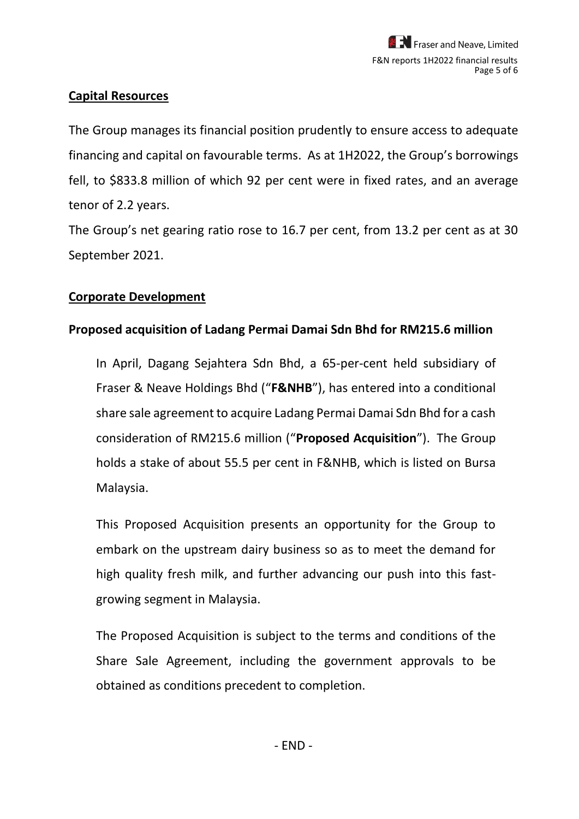## **Capital Resources**

The Group manages its financial position prudently to ensure access to adequate financing and capital on favourable terms. As at 1H2022, the Group's borrowings fell, to \$833.8 million of which 92 per cent were in fixed rates, and an average tenor of 2.2 years.

The Group's net gearing ratio rose to 16.7 per cent, from 13.2 per cent as at 30 September 2021.

### **Corporate Development**

## **Proposed acquisition of Ladang Permai Damai Sdn Bhd for RM215.6 million**

In April, Dagang Sejahtera Sdn Bhd, a 65-per-cent held subsidiary of Fraser & Neave Holdings Bhd ("**F&NHB**"), has entered into a conditional share sale agreement to acquire Ladang Permai Damai Sdn Bhd for a cash consideration of RM215.6 million ("**Proposed Acquisition**"). The Group holds a stake of about 55.5 per cent in F&NHB, which is listed on Bursa Malaysia.

This Proposed Acquisition presents an opportunity for the Group to embark on the upstream dairy business so as to meet the demand for high quality fresh milk, and further advancing our push into this fastgrowing segment in Malaysia.

The Proposed Acquisition is subject to the terms and conditions of the Share Sale Agreement, including the government approvals to be obtained as conditions precedent to completion.